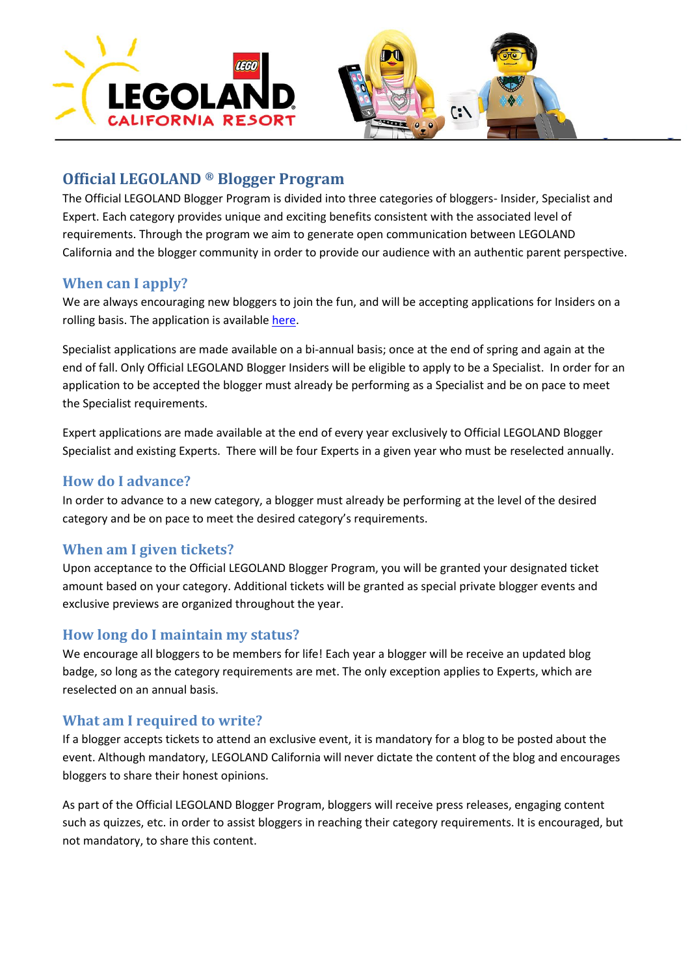



# **Official LEGOLAND ® Blogger Program**

The Official LEGOLAND Blogger Program is divided into three categories of bloggers- Insider, Specialist and Expert. Each category provides unique and exciting benefits consistent with the associated level of requirements. Through the program we aim to generate open communication between LEGOLAND California and the blogger community in order to provide our audience with an authentic parent perspective.

## **When can I apply?**

We are always encouraging new bloggers to join the fun, and will be accepting applications for Insiders on a rolling basis. The application is availabl[e here.](https://form.jotform.com/53126224930145)

Specialist applications are made available on a bi-annual basis; once at the end of spring and again at the end of fall. Only Official LEGOLAND Blogger Insiders will be eligible to apply to be a Specialist. In order for an application to be accepted the blogger must already be performing as a Specialist and be on pace to meet the Specialist requirements.

Expert applications are made available at the end of every year exclusively to Official LEGOLAND Blogger Specialist and existing Experts. There will be four Experts in a given year who must be reselected annually.

## **How do I advance?**

In order to advance to a new category, a blogger must already be performing at the level of the desired category and be on pace to meet the desired category's requirements.

## **When am I given tickets?**

Upon acceptance to the Official LEGOLAND Blogger Program, you will be granted your designated ticket amount based on your category. Additional tickets will be granted as special private blogger events and exclusive previews are organized throughout the year.

## **How long do I maintain my status?**

We encourage all bloggers to be members for life! Each year a blogger will be receive an updated blog badge, so long as the category requirements are met. The only exception applies to Experts, which are reselected on an annual basis.

## **What am I required to write?**

If a blogger accepts tickets to attend an exclusive event, it is mandatory for a blog to be posted about the event. Although mandatory, LEGOLAND California will never dictate the content of the blog and encourages bloggers to share their honest opinions.

As part of the Official LEGOLAND Blogger Program, bloggers will receive press releases, engaging content such as quizzes, etc. in order to assist bloggers in reaching their category requirements. It is encouraged, but not mandatory, to share this content.